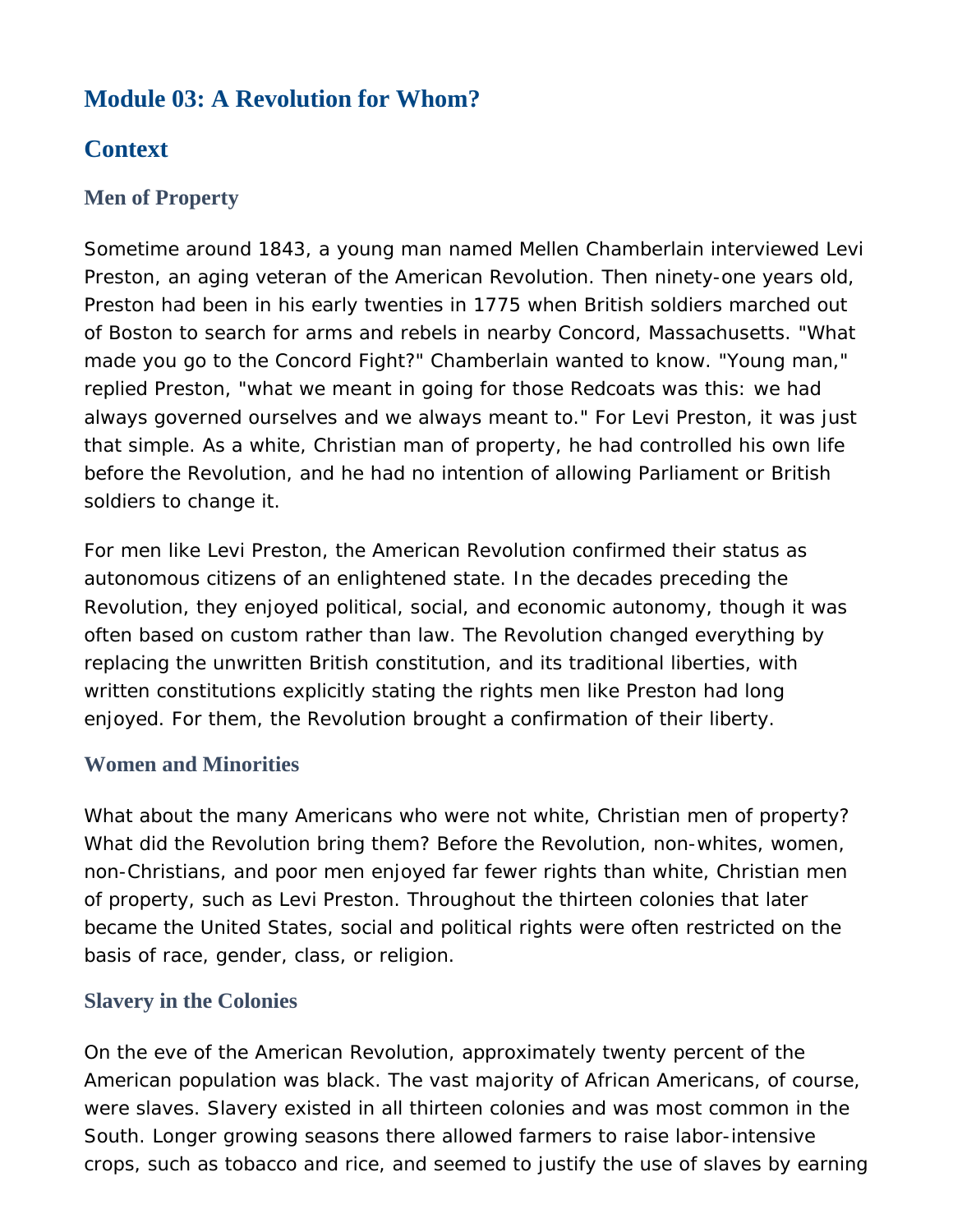# **Module 03: A Revolution for Whom?**

# **Context**

# **Men of Property**

Sometime around 1843, a young man named Mellen Chamberlain interviewed Levi Preston, an aging veteran of the American Revolution. Then ninety-one years old, Preston had been in his early twenties in 1775 when British soldiers marched out of Boston to search for arms and rebels in nearby Concord, Massachusetts. "What made you go to the Concord Fight?" Chamberlain wanted to know. "Young man," replied Preston, "what we meant in going for those Redcoats was this: we had always governed ourselves and we always meant to." For Levi Preston, it was just that simple. As a white, Christian man of property, he had controlled his own life before the Revolution, and he had no intention of allowing Parliament or British soldiers to change it.

For men like Levi Preston, the American Revolution confirmed their status as autonomous citizens of an enlightened state. In the decades preceding the Revolution, they enjoyed political, social, and economic autonomy, though it was often based on custom rather than law. The Revolution changed everything by replacing the unwritten British constitution, and its traditional liberties, with written constitutions explicitly stating the rights men like Preston had long enjoyed. For them, the Revolution brought a confirmation of their liberty.

# **Women and Minorities**

What about the many Americans who were not white, Christian men of property? What did the Revolution bring them? Before the Revolution, non-whites, women, non-Christians, and poor men enjoyed far fewer rights than white, Christian men of property, such as Levi Preston. Throughout the thirteen colonies that later became the United States, social and political rights were often restricted on the basis of race, gender, class, or religion.

# **Slavery in the Colonies**

On the eve of the American Revolution, approximately twenty percent of the American population was black. The vast majority of African Americans, of course, were slaves. Slavery existed in all thirteen colonies and was most common in the South. Longer growing seasons there allowed farmers to raise labor-intensive crops, such as tobacco and rice, and seemed to justify the use of slaves by earning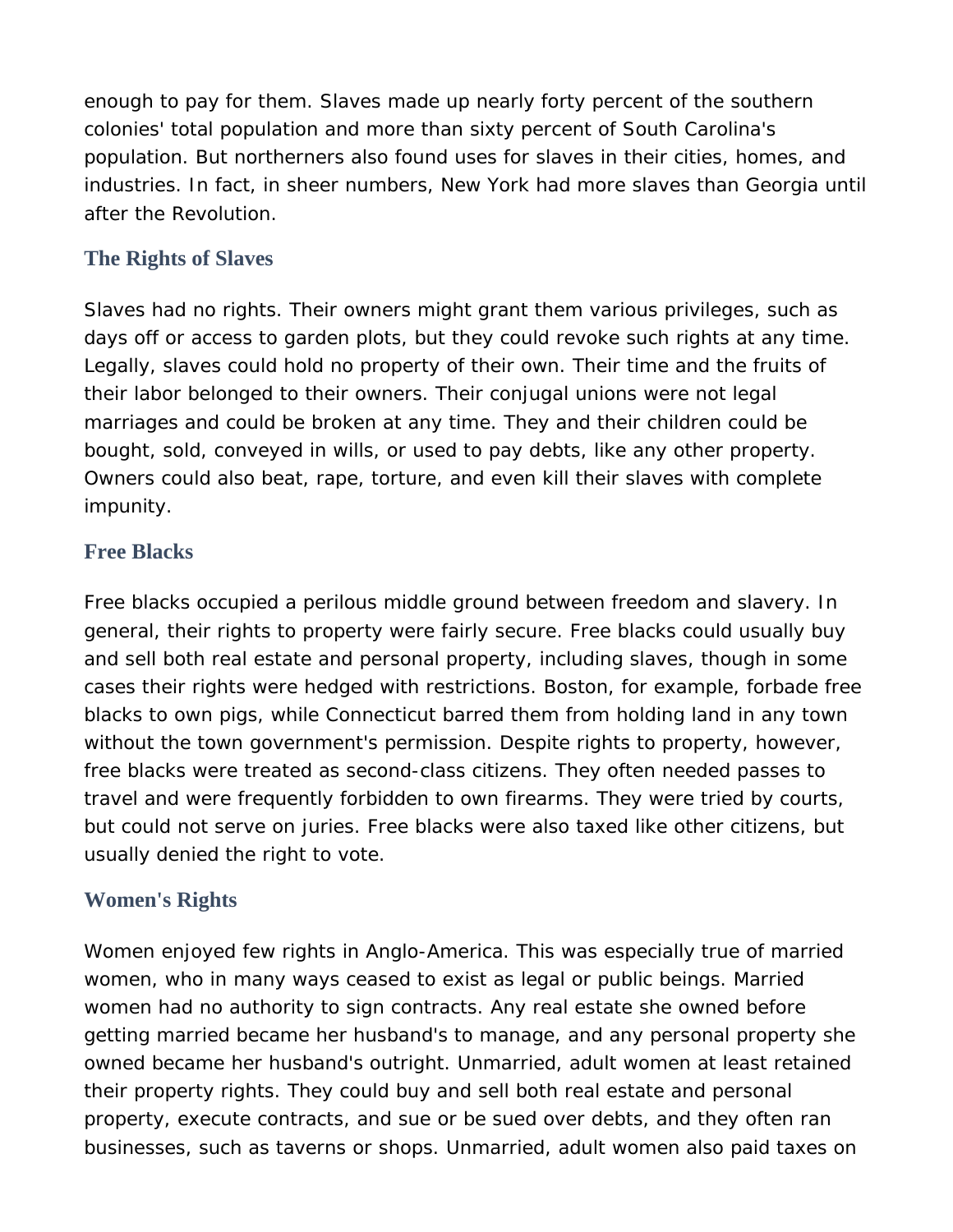enough to pay for them. Slaves made up nearly forty percent of the southern colonies' total population and more than sixty percent of South Carolina's population. But northerners also found uses for slaves in their cities, homes, and industries. In fact, in sheer numbers, New York had more slaves than Georgia until after the Revolution.

#### **The Rights of Slaves**

Slaves had no rights. Their owners might grant them various privileges, such as days off or access to garden plots, but they could revoke such rights at any time. Legally, slaves could hold no property of their own. Their time and the fruits of their labor belonged to their owners. Their conjugal unions were not legal marriages and could be broken at any time. They and their children could be bought, sold, conveyed in wills, or used to pay debts, like any other property. Owners could also beat, rape, torture, and even kill their slaves with complete impunity.

#### **Free Blacks**

Free blacks occupied a perilous middle ground between freedom and slavery. In general, their rights to property were fairly secure. Free blacks could usually buy and sell both real estate and personal property, including slaves, though in some cases their rights were hedged with restrictions. Boston, for example, forbade free blacks to own pigs, while Connecticut barred them from holding land in any town without the town government's permission. Despite rights to property, however, free blacks were treated as second-class citizens. They often needed passes to travel and were frequently forbidden to own firearms. They were tried by courts, but could not serve on juries. Free blacks were also taxed like other citizens, but usually denied the right to vote.

#### **Women's Rights**

Women enjoyed few rights in Anglo-America. This was especially true of married women, who in many ways ceased to exist as legal or public beings. Married women had no authority to sign contracts. Any real estate she owned before getting married became her husband's to manage, and any personal property she owned became her husband's outright. Unmarried, adult women at least retained their property rights. They could buy and sell both real estate and personal property, execute contracts, and sue or be sued over debts, and they often ran businesses, such as taverns or shops. Unmarried, adult women also paid taxes on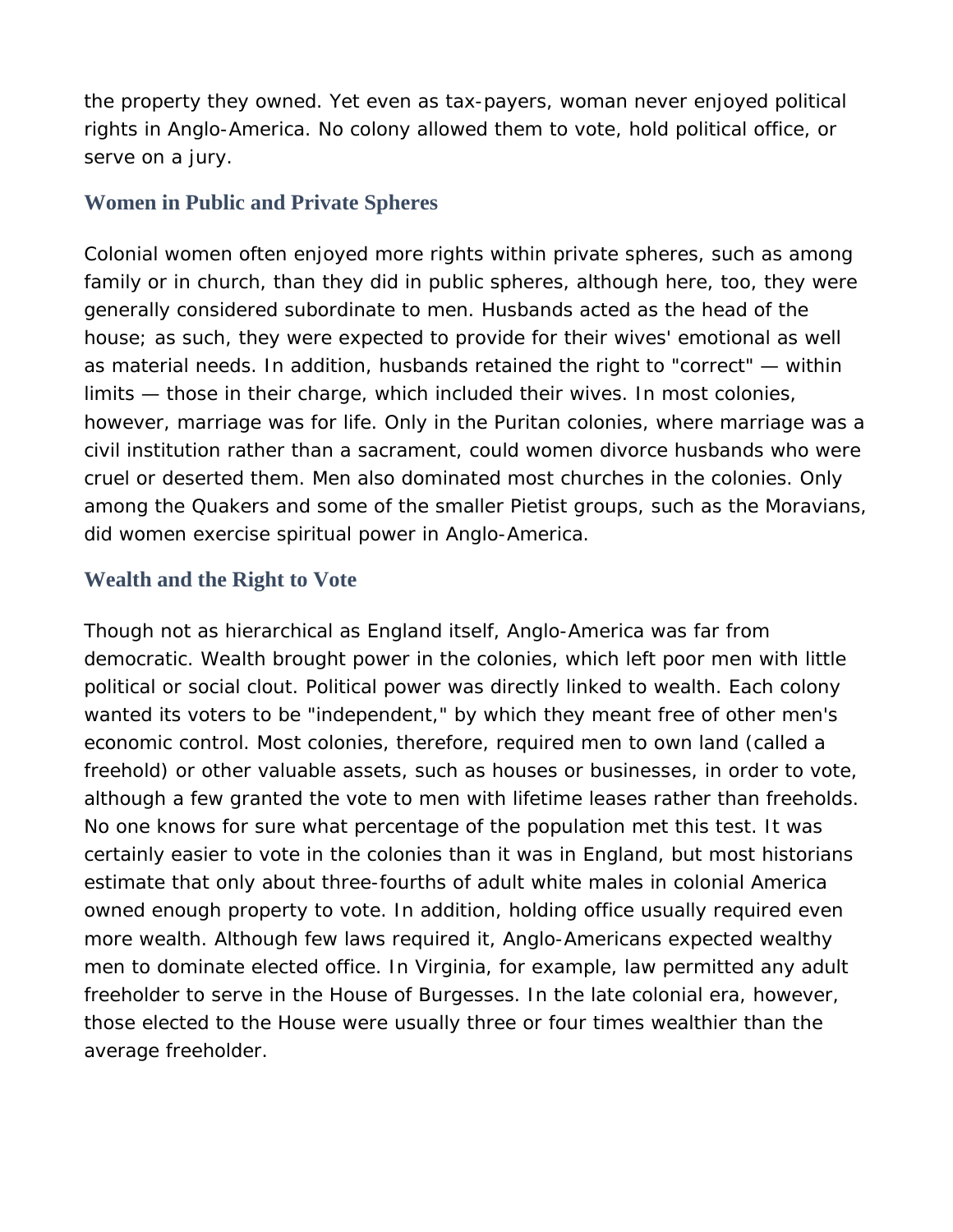the property they owned. Yet even as tax-payers, woman never enjoyed political rights in Anglo-America. No colony allowed them to vote, hold political office, or serve on a jury.

#### **Women in Public and Private Spheres**

Colonial women often enjoyed more rights within private spheres, such as among family or in church, than they did in public spheres, although here, too, they were generally considered subordinate to men. Husbands acted as the head of the house; as such, they were expected to provide for their wives' emotional as well as material needs. In addition, husbands retained the right to "correct" — within limits — those in their charge, which included their wives. In most colonies, however, marriage was for life. Only in the Puritan colonies, where marriage was a civil institution rather than a sacrament, could women divorce husbands who were cruel or deserted them. Men also dominated most churches in the colonies. Only among the Quakers and some of the smaller Pietist groups, such as the Moravians, did women exercise spiritual power in Anglo-America.

## **Wealth and the Right to Vote**

Though not as hierarchical as England itself, Anglo-America was far from democratic. Wealth brought power in the colonies, which left poor men with little political or social clout. Political power was directly linked to wealth. Each colony wanted its voters to be "independent," by which they meant free of other men's economic control. Most colonies, therefore, required men to own land (called a freehold) or other valuable assets, such as houses or businesses, in order to vote, although a few granted the vote to men with lifetime leases rather than freeholds. No one knows for sure what percentage of the population met this test. It was certainly easier to vote in the colonies than it was in England, but most historians estimate that only about three-fourths of adult white males in colonial America owned enough property to vote. In addition, holding office usually required even more wealth. Although few laws required it, Anglo-Americans expected wealthy men to dominate elected office. In Virginia, for example, law permitted any adult freeholder to serve in the House of Burgesses. In the late colonial era, however, those elected to the House were usually three or four times wealthier than the average freeholder.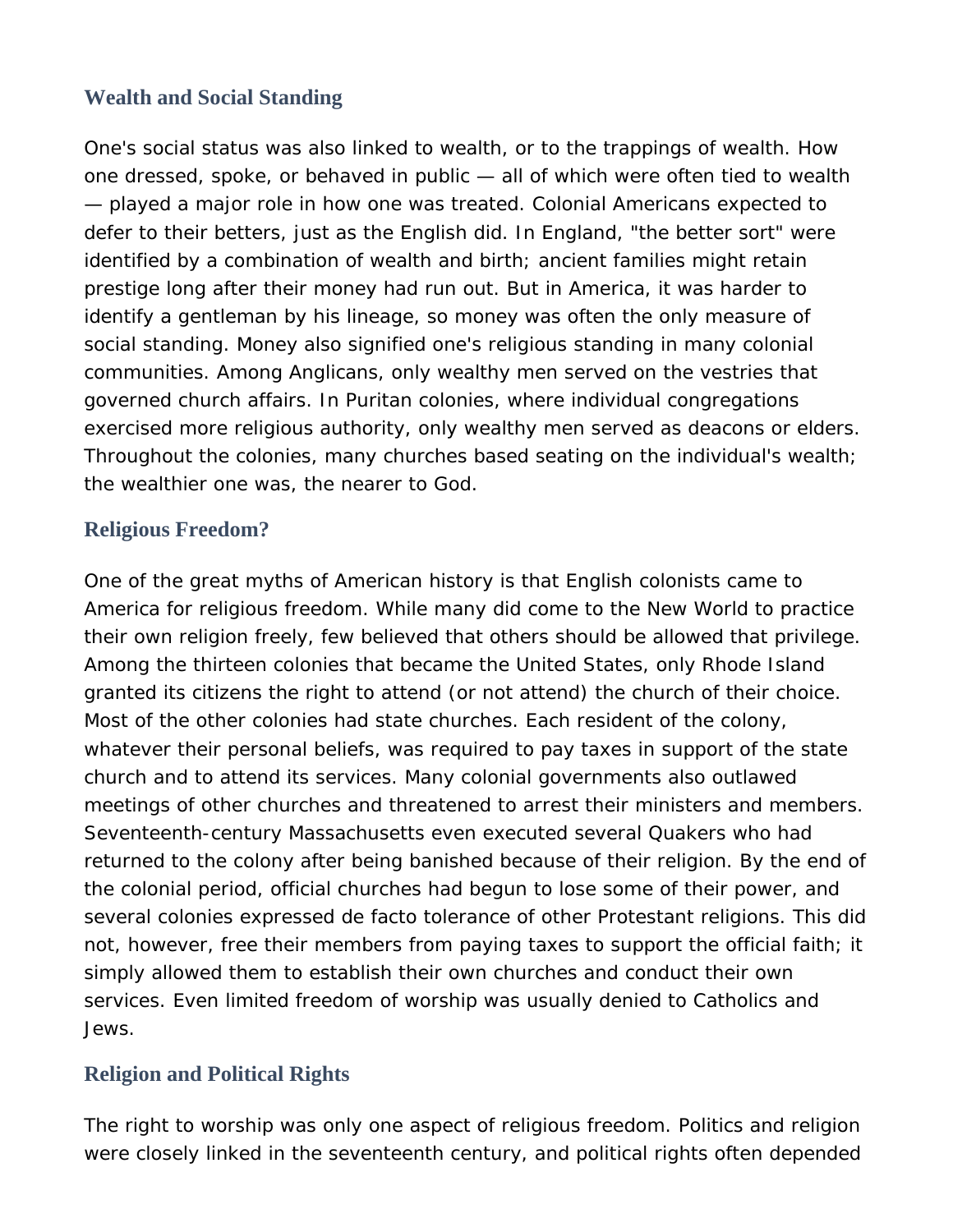## **Wealth and Social Standing**

One's social status was also linked to wealth, or to the trappings of wealth. How one dressed, spoke, or behaved in public — all of which were often tied to wealth — played a major role in how one was treated. Colonial Americans expected to defer to their betters, just as the English did. In England, "the better sort" were identified by a combination of wealth and birth; ancient families might retain prestige long after their money had run out. But in America, it was harder to identify a gentleman by his lineage, so money was often the only measure of social standing. Money also signified one's religious standing in many colonial communities. Among Anglicans, only wealthy men served on the vestries that governed church affairs. In Puritan colonies, where individual congregations exercised more religious authority, only wealthy men served as deacons or elders. Throughout the colonies, many churches based seating on the individual's wealth; the wealthier one was, the nearer to God.

#### **Religious Freedom?**

One of the great myths of American history is that English colonists came to America for religious freedom. While many did come to the New World to practice their own religion freely, few believed that others should be allowed that privilege. Among the thirteen colonies that became the United States, only Rhode Island granted its citizens the right to attend (or not attend) the church of their choice. Most of the other colonies had state churches. Each resident of the colony, whatever their personal beliefs, was required to pay taxes in support of the state church and to attend its services. Many colonial governments also outlawed meetings of other churches and threatened to arrest their ministers and members. Seventeenth-century Massachusetts even executed several Quakers who had returned to the colony after being banished because of their religion. By the end of the colonial period, official churches had begun to lose some of their power, and several colonies expressed de facto tolerance of other Protestant religions. This did not, however, free their members from paying taxes to support the official faith; it simply allowed them to establish their own churches and conduct their own services. Even limited freedom of worship was usually denied to Catholics and Jews.

#### **Religion and Political Rights**

The right to worship was only one aspect of religious freedom. Politics and religion were closely linked in the seventeenth century, and political rights often depended